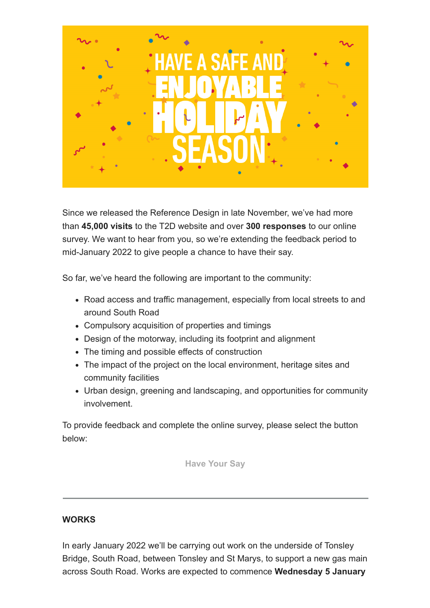

Since we released the Reference Design in late November, we've had more than **45,000 visits** to the T2D website and over **300 responses** to our online survey. We want to hear from you, so we're extending the feedback period to mid-January 2022 to give people a chance to have their say.

So far, we've heard the following are important to the community:

- Road access and traffic management, especially from local streets to and around South Road
- Compulsory acquisition of properties and timings
- Design of the motorway, including its footprint and alignment
- The timing and possible effects of construction
- The impact of the project on the local environment, heritage sites and community facilities
- Urban design, greening and landscaping, and opportunities for community involvement.

To provide feedback and complete the online survey, please select the button below:

**[Have Your Say](https://dit.sa.gov.au/nsc/torrens_to_darlington/contact_us/have_your_say)**

## **WORKS**

In early January 2022 we'll be carrying out work on the underside of Tonsley Bridge, South Road, between Tonsley and St Marys, to support a new gas main across South Road. Works are expected to commence **Wednesday 5 January**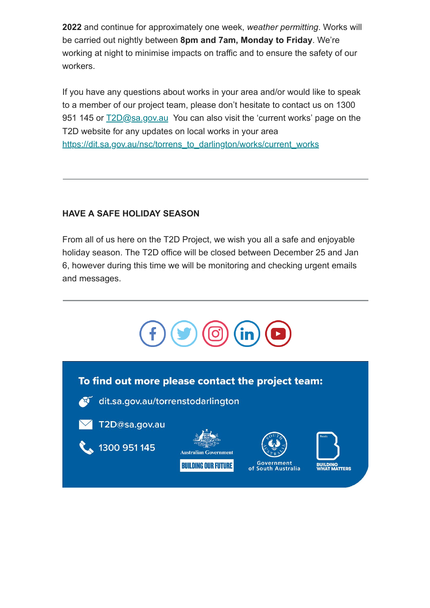**2022** and continue for approximately one week, *weather permitting*. Works will be carried out nightly between **8pm and 7am, Monday to Friday**. We're working at night to minimise impacts on traffic and to ensure the safety of our workers.

If you have any questions about works in your area and/or would like to speak to a member of our project team, please don't hesitate to contact us on 1300 951 145 or  $\underline{72D}$ @sa.gov.au You can also visit the 'current works' page on the T2D website for any updates on local works in your area [https://dit.sa.gov.au/nsc/torrens\\_to\\_darlington/works/current\\_works](https://dit.sa.gov.au/nsc/torrens_to_darlington/works/current_works)

## **HAVE A SAFE HOLIDAY SEASON**

From all of us here on the T2D Project, we wish you all a safe and enjoyable holiday season. The T2D office will be closed between December 25 and Jan 6, however during this time we will be monitoring and checking urgent emails and messages.